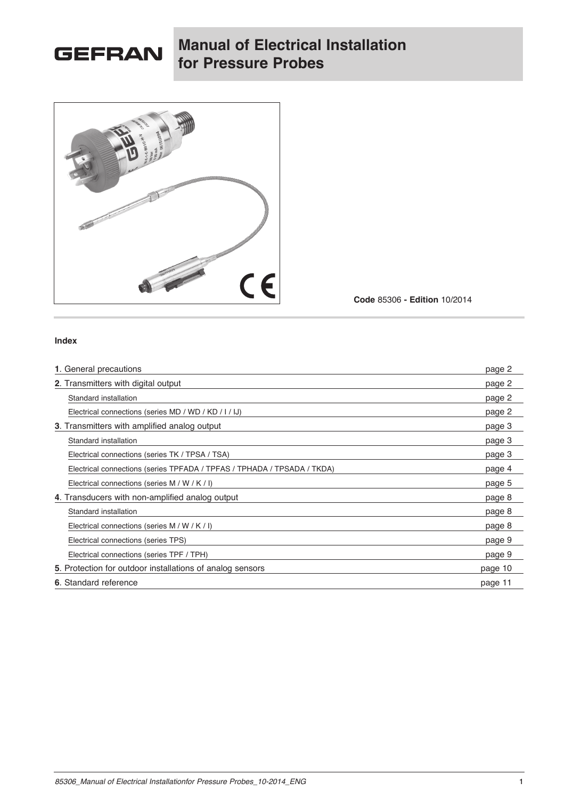

## **Manual of Electrical Installation for Pressure Probes**



**Code** 85306 **- Edition** 10/2014

#### **Index**

| 1. General precautions                                                  | page 2  |
|-------------------------------------------------------------------------|---------|
| 2. Transmitters with digital output                                     | page 2  |
| Standard installation                                                   | page 2  |
| Electrical connections (series MD / WD / KD / I / IJ)                   | page 2  |
| <b>3</b> . Transmitters with amplified analog output                    | page 3  |
| Standard installation                                                   | page 3  |
| Electrical connections (series TK / TPSA / TSA)                         | page 3  |
| Electrical connections (series TPFADA / TPFAS / TPHADA / TPSADA / TKDA) | page 4  |
| Electrical connections (series M / W / K / I)                           | page 5  |
| 4. Transducers with non-amplified analog output                         | page 8  |
| Standard installation                                                   | page 8  |
| Electrical connections (series M / W / K / I)                           | page 8  |
| Electrical connections (series TPS)                                     | page 9  |
| Electrical connections (series TPF / TPH)                               | page 9  |
| 5. Protection for outdoor installations of analog sensors               | page 10 |
| 6. Standard reference                                                   | page 11 |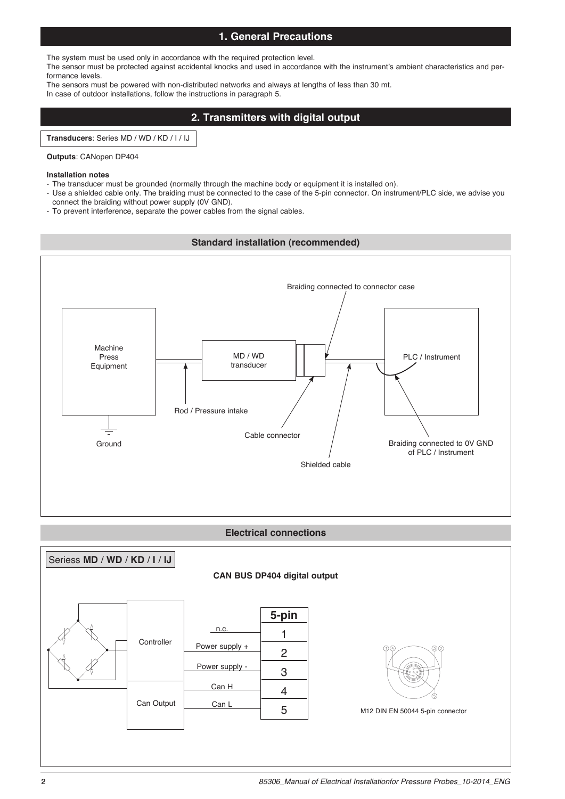## **1. General Precautions**

The system must be used only in accordance with the required protection level.

The sensor must be protected against accidental knocks and used in accordance with the instrument's ambient characteristics and performance levels.

The sensors must be powered with non-distributed networks and always at lengths of less than 30 mt. In case of outdoor installations, follow the instructions in paragraph 5.

## **2. Transmitters with digital output**

**Transducers**: Series MD / WD / KD / I / IJ

#### **Outputs**: CANopen DP404

#### **Installation notes**

- The transducer must be grounded (normally through the machine body or equipment it is installed on).
- Use a shielded cable only. The braiding must be connected to the case of the 5-pin connector. On instrument/PLC side, we advise you
- connect the braiding without power supply (0V GND).
- To prevent interference, separate the power cables from the signal cables.



#### **Electrical connections**



2 *85306\_Manual of Electrical Installationfor Pressure Probes\_10-2014\_ENG*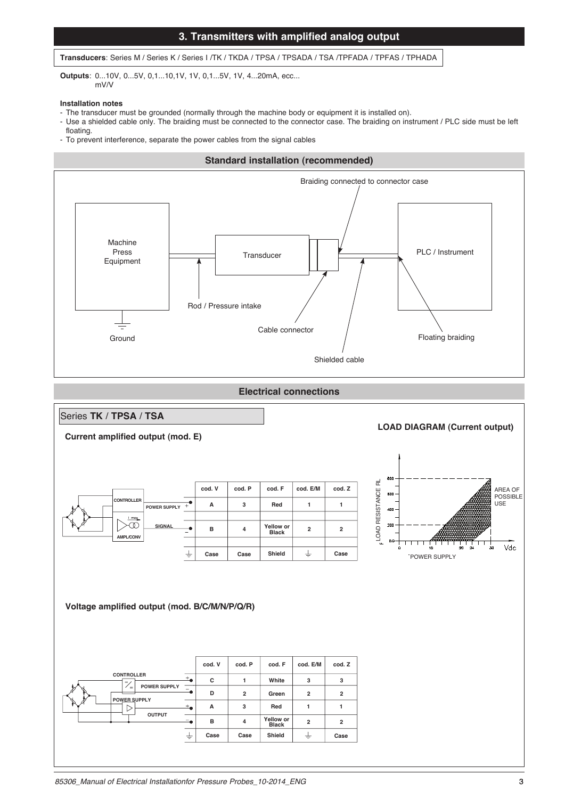## **3. Transmitters with amplified analog output**

#### **Transducers**: Series M / Series K / Series I /TK / TKDA / TPSA / TPSADA / TSA /TPFADA / TPFAS / TPHADA

**Outputs**: 0...10V, 0...5V, 0,1...10,1V, 1V, 0,1...5V, 1V, 4...20mA, ecc... mV/V

#### **Installation notes**

- The transducer must be grounded (normally through the machine body or equipment it is installed on).
- Use a shielded cable only. The braiding must be connected to the connector case. The braiding on instrument / PLC side must be left floating.
- To prevent interference, separate the power cables from the signal cables



**Electrical connections**

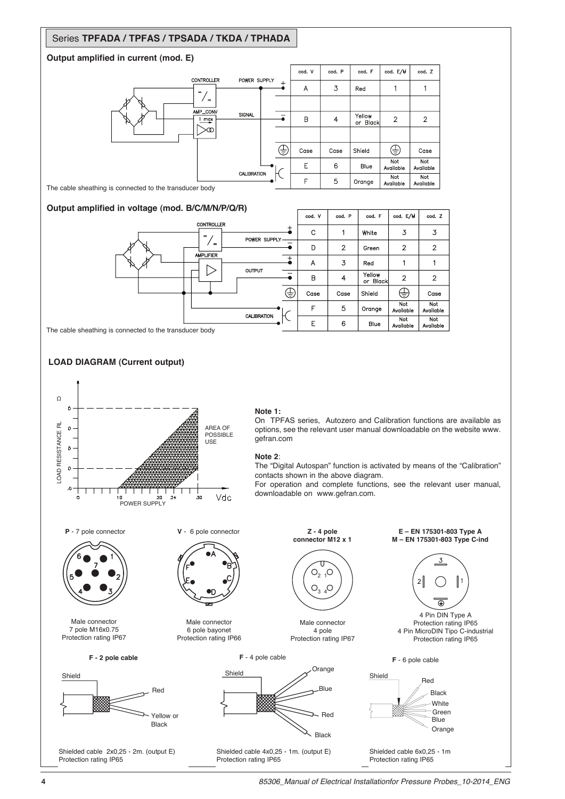## Series **TPFADA / TPFAS / TPSADA / TKDA / TPHADA**

#### **Output amplified in current (mod. E)**



The cable sheathing is connected to the transducer body

#### **Output amplified in voltage (mod. B/C/M/N/P/Q/R)**



The cable sheathing is connected to the transducer body





#### **Note 1:**

On TPFAS series, Autozero and Calibration functions are available as options, see the relevant user manual downloadable on the website www. gefran.com

#### **Note 2**:

The "Digital Autospan" function is activated by means of the "Calibration" contacts shown in the above diagram.

For operation and complete functions, see the relevant user manual, downloadable on www.gefran.com.



Male connector 7 pole M16x0.75 Protection rating IP67

Shield

**F - 2 pole cable**

Red

Yellow or Black

Shielded cable 2x0,25 - 2m. (output E)

Protection rating IP65



Male connector 6 pole bayonet Protection rating IP66





Male connector 4 pole Protection rating IP67

**Z - 4 pole connector M12 x 1**

> $O_2$ <sup>1</sup>O  $O_3$ <sub>4</sub> $O$

τ

Shielded cable 4x0,25 - 1m. (output E) Protection rating IP65

**E – EN 175301-803 Type A M – EN 175301-803 Type C-ind**



4 Pin DIN Type A Protection rating IP65 4 Pin MicroDIN Tipo C-industrial Protection rating IP65





Shielded cable 6x0,25 - 1m Protection rating IP65



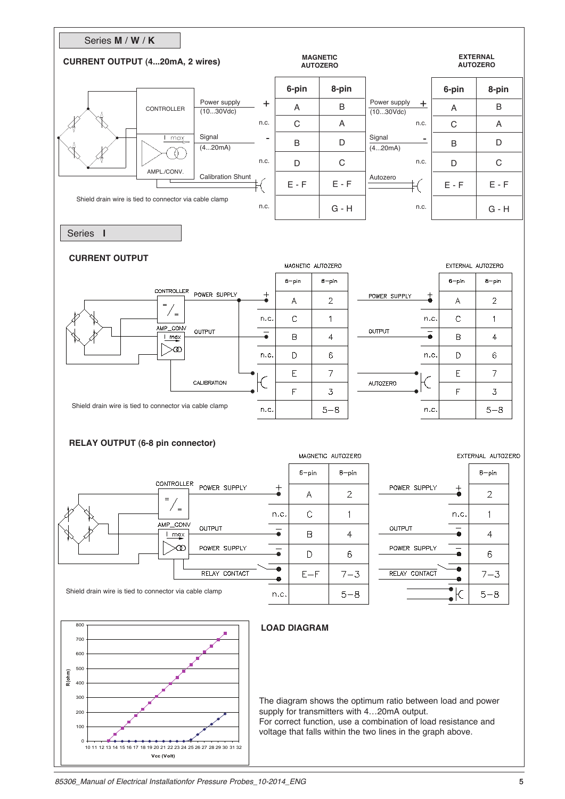

*85306\_Manual of Electrical Installationfor Pressure Probes\_10-2014\_ENG* 5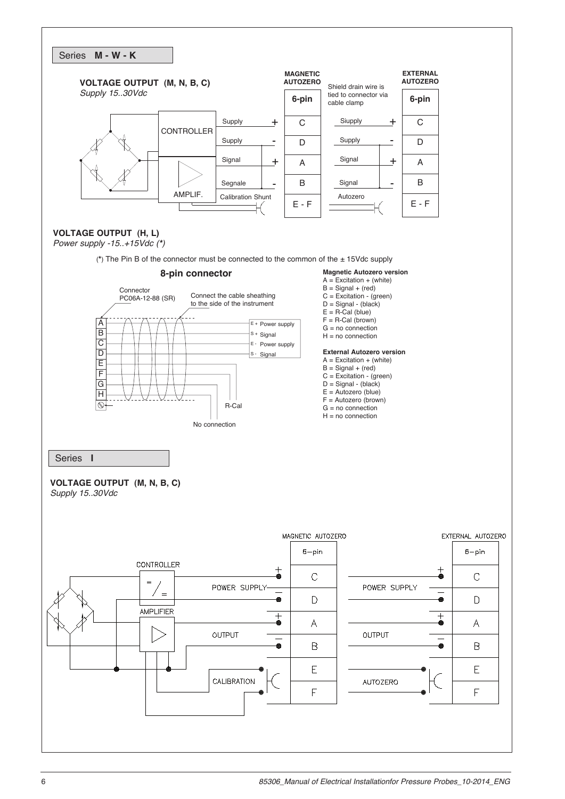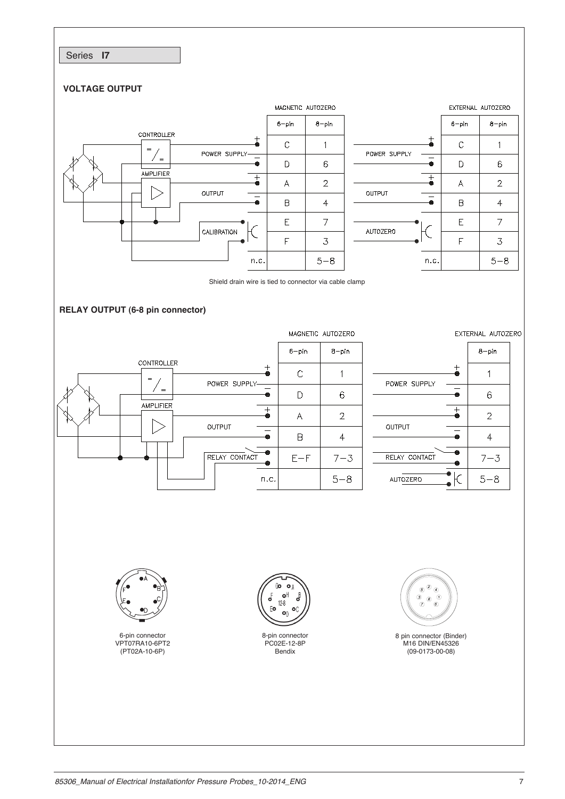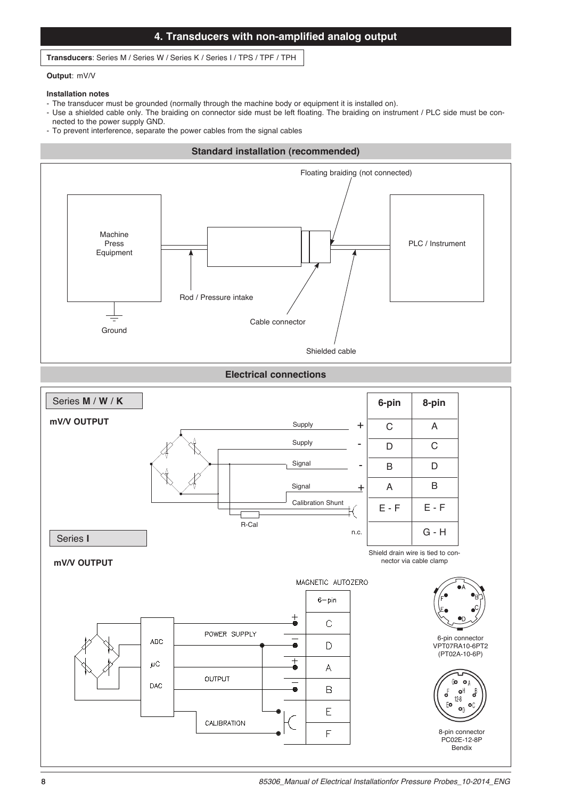## **4. Transducers with non-amplified analog output**

#### **Transducers**: Series M / Series W / Series K / Series I / TPS / TPF / TPH

#### **Output**: mV/V

#### **Installation notes**

- The transducer must be grounded (normally through the machine body or equipment it is installed on).
- Use a shielded cable only. The braiding on connector side must be left floating. The braiding on instrument / PLC side must be connected to the power supply GND.
- To prevent interference, separate the power cables from the signal cables

# **Standard installation (recommended)** Machine Press Equipment Ground Floating braiding (not connected) PLC / Instrument Rod / Pressure intake Cable connector Shielded cable

**Electrical connections**

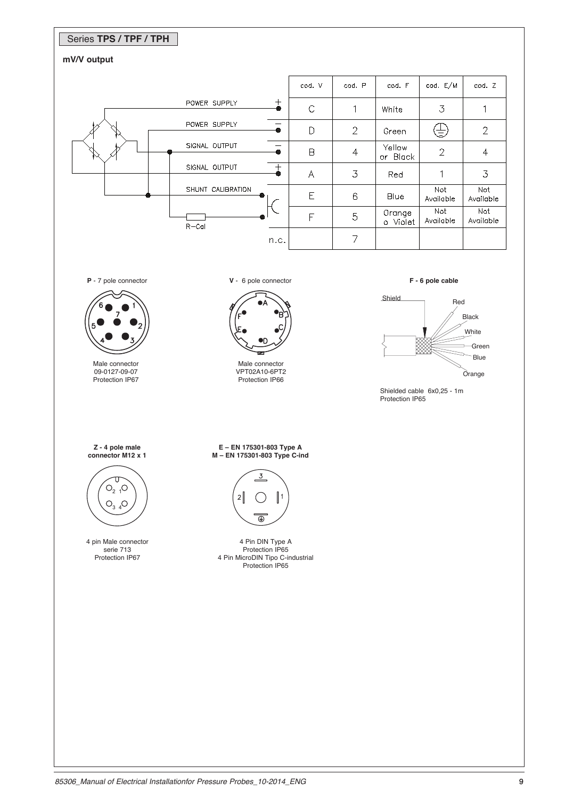## Series **TPS / TPF / TPH**

### **mV/V output**

|  |                   |           | cod. V                  | cod. P         | cod. F             | cod. E/M         | cod. Z           |
|--|-------------------|-----------|-------------------------|----------------|--------------------|------------------|------------------|
|  | POWER SUPPLY      | $^+$<br>● | $\mathcal{C}$           | 1              | White              | $\overline{3}$   |                  |
|  | POWER SUPPLY      |           | D                       | 2              | Green              | 吉                | $\mathbf{2}$     |
|  | SIGNAL OUTPUT     | ●         | B                       | $\overline{4}$ | Yellow<br>or Black | $\overline{2}$   |                  |
|  | SIGNAL OUTPUT     | $^{+}$    | $\overline{\mathsf{A}}$ | 3              | Red                |                  | 3                |
|  | SHUNT CALIBRATION |           | E                       | 6              | Blue               | Not<br>Available | Not<br>Available |
|  | $R - Cal$         |           | F                       | 5              | Orange<br>o Violet | Not<br>Available | Not<br>Available |
|  |                   | n.c.      |                         | 7              |                    |                  |                  |

**P** - 7 pole connector



Male connector 09-0127-09-07 Protection IP67 **V** - 6 pole connector



Male connector VPT02A10-6PT2 Protection IP66





Shielded cable 6x0,25 - 1m Protection IP65

**Z - 4 pole male connector M12 x 1**



4 pin Male connector serie 713 Protection IP67

**E – EN 175301-803 Type A M – EN 175301-803 Type C-ind**



4 Pin DIN Type A Protection IP65 4 Pin MicroDIN Tipo C-industrial Protection IP65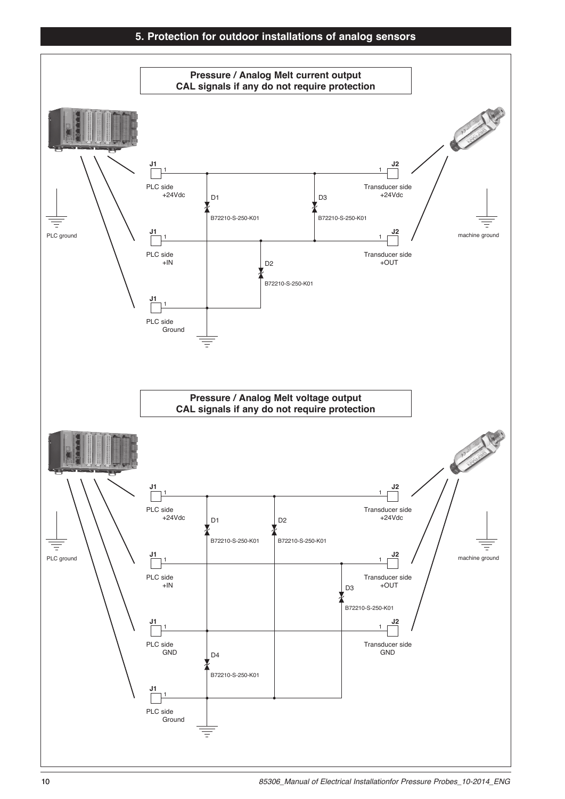## **5. Protection for outdoor installations of analog sensors**